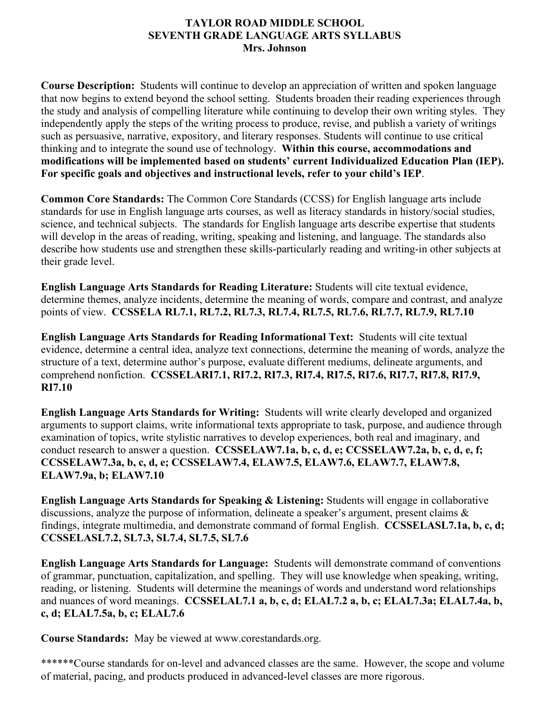# **TAYLOR ROAD MIDDLE SCHOOL SEVENTH GRADE LANGUAGE ARTS SYLLABUS Mrs. Johnson**

**Course Description:** Students will continue to develop an appreciation of written and spoken language that now begins to extend beyond the school setting. Students broaden their reading experiences through the study and analysis of compelling literature while continuing to develop their own writing styles. They independently apply the steps of the writing process to produce, revise, and publish a variety of writings such as persuasive, narrative, expository, and literary responses. Students will continue to use critical thinking and to integrate the sound use of technology. **Within this course, accommodations and modifications will be implemented based on students' current Individualized Education Plan (IEP). For specific goals and objectives and instructional levels, refer to your child's IEP**.

**Common Core Standards:** The Common Core Standards (CCSS) for English language arts include standards for use in English language arts courses, as well as literacy standards in history/social studies, science, and technical subjects. The standards for English language arts describe expertise that students will develop in the areas of reading, writing, speaking and listening, and language. The standards also describe how students use and strengthen these skills-particularly reading and writing-in other subjects at their grade level.

**English Language Arts Standards for Reading Literature:** Students will cite textual evidence, determine themes, analyze incidents, determine the meaning of words, compare and contrast, and analyze points of view. **CCSSELA RL7.1, RL7.2, RL7.3, RL7.4, RL7.5, RL7.6, RL7.7, RL7.9, RL7.10**

**English Language Arts Standards for Reading Informational Text:** Students will cite textual evidence, determine a central idea, analyze text connections, determine the meaning of words, analyze the structure of a text, determine author's purpose, evaluate different mediums, delineate arguments, and comprehend nonfiction. **CCSSELARI7.1, RI7.2, RI7.3, RI7.4, RI7.5, RI7.6, RI7.7, RI7.8, RI7.9, RI7.10**

**English Language Arts Standards for Writing:** Students will write clearly developed and organized arguments to support claims, write informational texts appropriate to task, purpose, and audience through examination of topics, write stylistic narratives to develop experiences, both real and imaginary, and conduct research to answer a question. **CCSSELAW7.1a, b, c, d, e; CCSSELAW7.2a, b, c, d, e, f; CCSSELAW7.3a, b, c, d, e; CCSSELAW7.4, ELAW7.5, ELAW7.6, ELAW7.7, ELAW7.8, ELAW7.9a, b; ELAW7.10**

**English Language Arts Standards for Speaking & Listening:** Students will engage in collaborative discussions, analyze the purpose of information, delineate a speaker's argument, present claims & findings, integrate multimedia, and demonstrate command of formal English. **CCSSELASL7.1a, b, c, d; CCSSELASL7.2, SL7.3, SL7.4, SL7.5, SL7.6**

**English Language Arts Standards for Language:** Students will demonstrate command of conventions of grammar, punctuation, capitalization, and spelling. They will use knowledge when speaking, writing, reading, or listening. Students will determine the meanings of words and understand word relationships and nuances of word meanings. **CCSSELAL7.1 a, b, c, d; ELAL7.2 a, b, c; ELAL7.3a; ELAL7.4a, b, c, d; ELAL7.5a, b, c; ELAL7.6**

**Course Standards:** May be viewed at www.corestandards.org.

\*\*\*\*\*\*Course standards for on-level and advanced classes are the same. However, the scope and volume of material, pacing, and products produced in advanced-level classes are more rigorous.